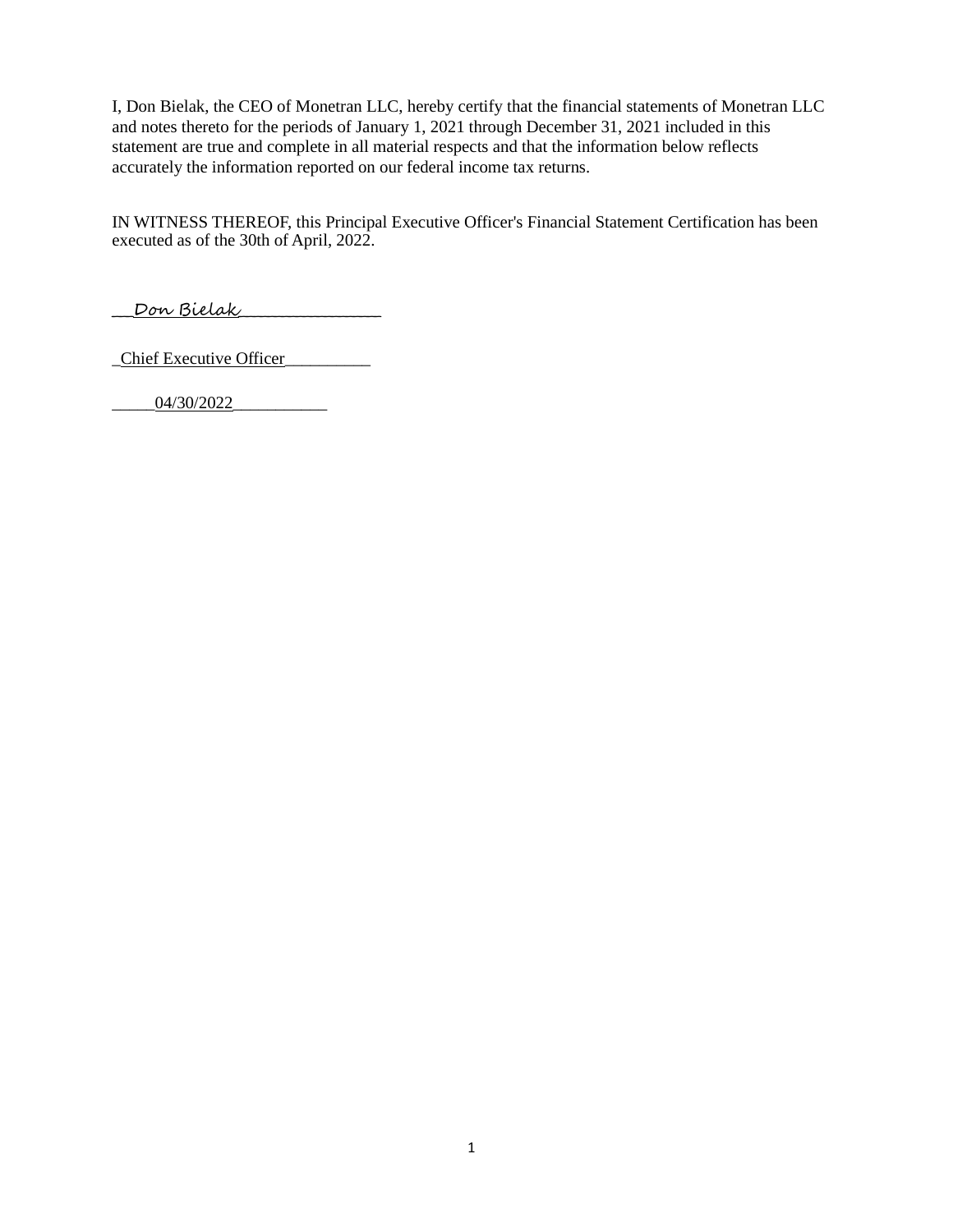I, Don Bielak, the CEO of Monetran LLC, hereby certify that the financial statements of Monetran LLC and notes thereto for the periods of January 1, 2021 through December 31, 2021 included in this statement are true and complete in all material respects and that the information below reflects accurately the information reported on our federal income tax returns.

IN WITNESS THEREOF, this Principal Executive Officer's Financial Statement Certification has been executed as of the 30th of April, 2022.

\_\_\_Don Bielak\_\_\_\_\_\_\_\_\_\_\_\_\_\_\_\_\_\_\_\_

\_Chief Executive Officer\_\_\_\_\_\_\_\_\_\_

\_\_\_\_\_04/30/2022\_\_\_\_\_\_\_\_\_\_\_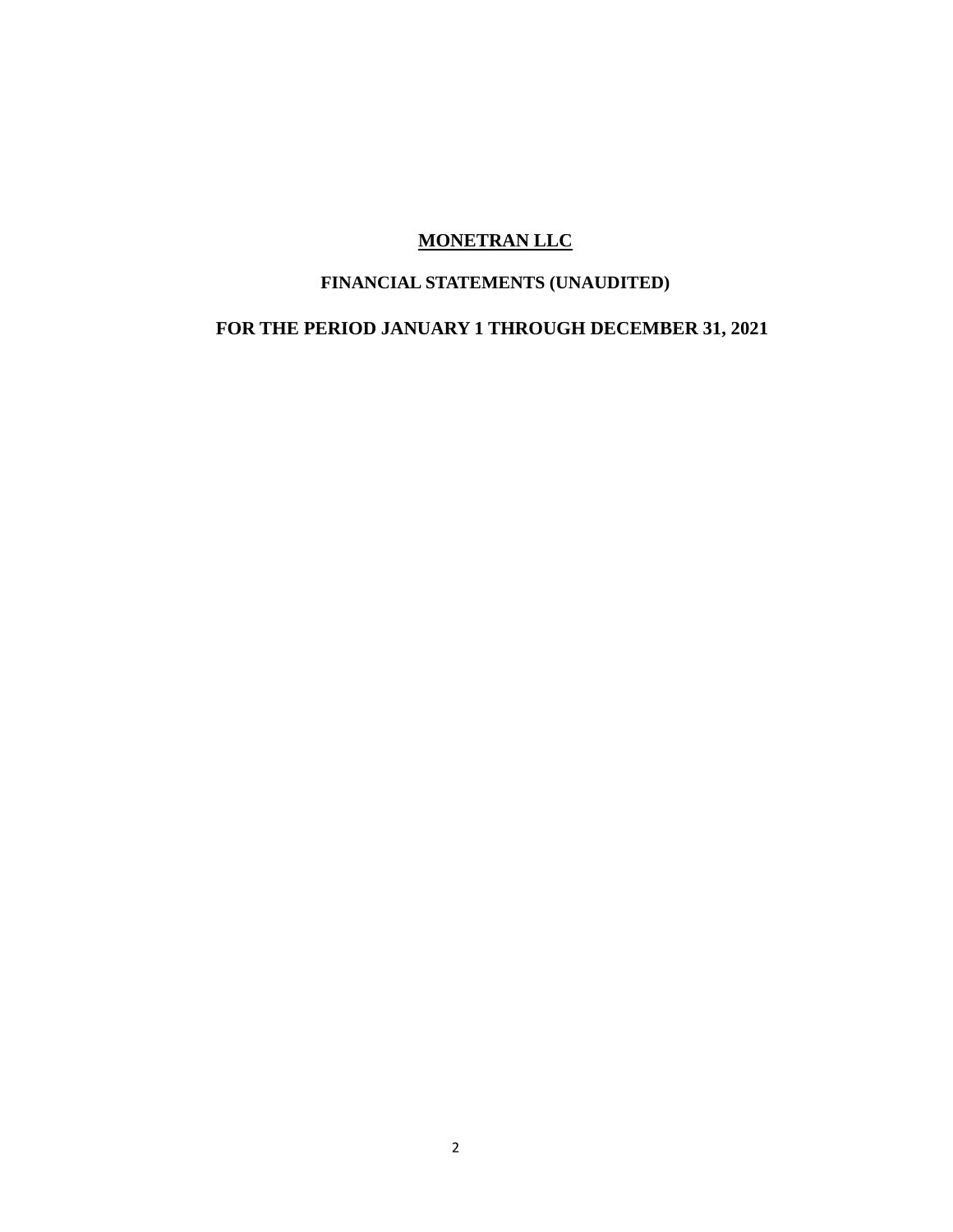# **FINANCIAL STATEMENTS (UNAUDITED)**

# **FOR THE PERIOD JANUARY 1 THROUGH DECEMBER 31, 2021**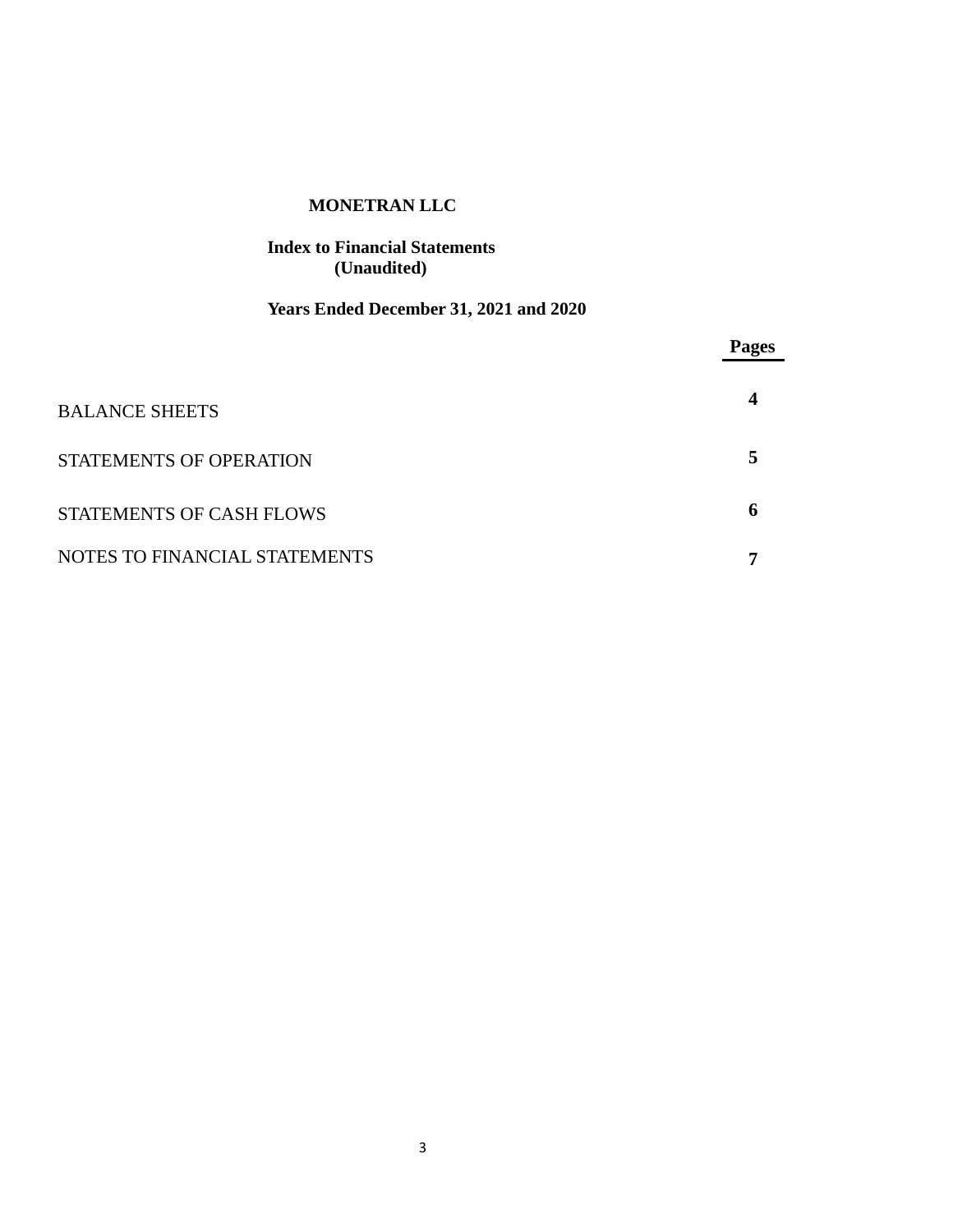## **Index to Financial Statements (Unaudited)**

# **Years Ended December 31, 2021 and 2020**

|                                 | <b>Pages</b> |
|---------------------------------|--------------|
| <b>BALANCE SHEETS</b>           | 4            |
| <b>STATEMENTS OF OPERATION</b>  | 5            |
| <b>STATEMENTS OF CASH FLOWS</b> | 6            |
| NOTES TO FINANCIAL STATEMENTS   | -            |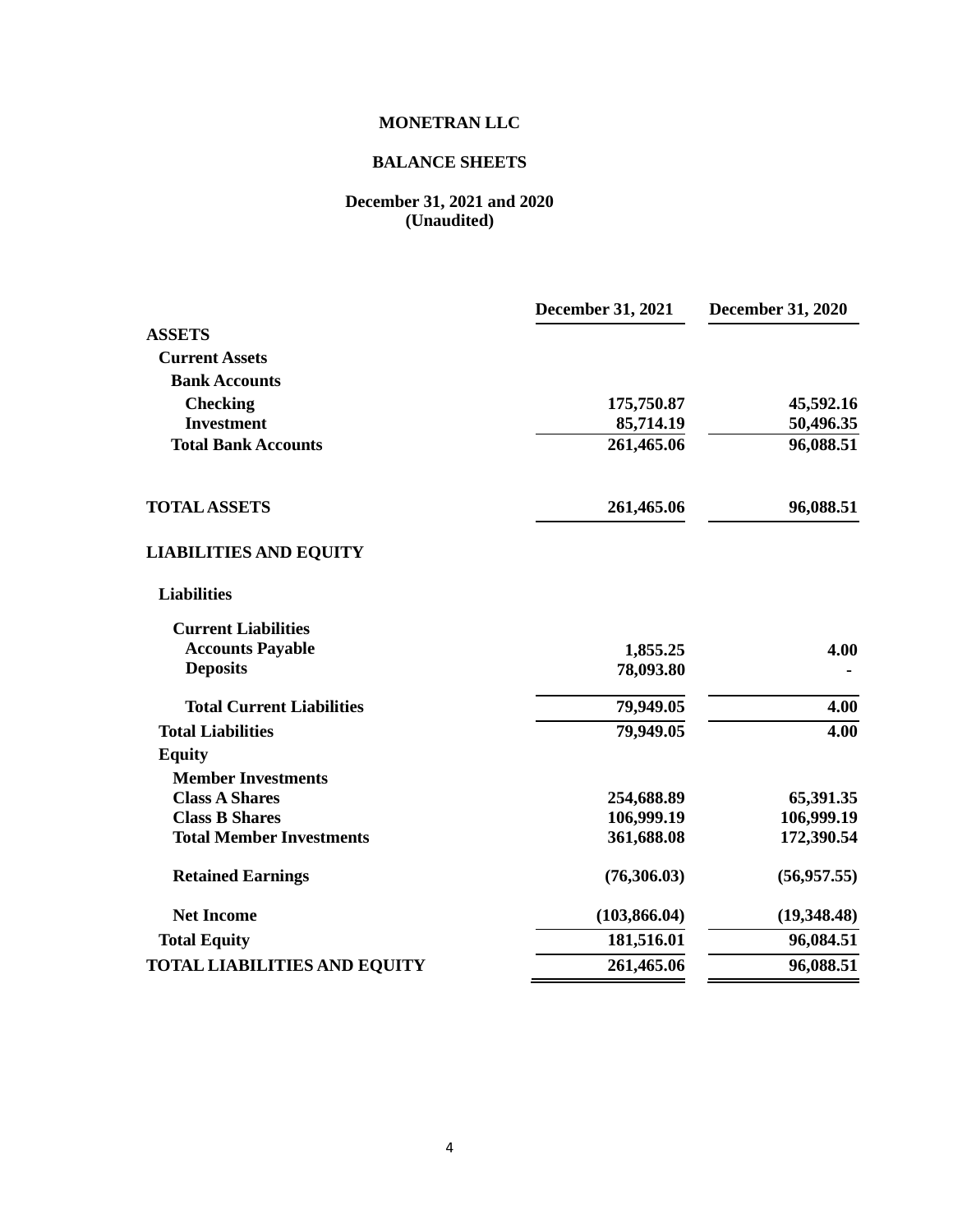## **BALANCE SHEETS**

#### **December 31, 2021 and 2020 (Unaudited)**

|                                     | <b>December 31, 2021</b> | <b>December 31, 2020</b> |
|-------------------------------------|--------------------------|--------------------------|
| <b>ASSETS</b>                       |                          |                          |
| <b>Current Assets</b>               |                          |                          |
| <b>Bank Accounts</b>                |                          |                          |
| <b>Checking</b>                     | 175,750.87               | 45,592.16                |
| <b>Investment</b>                   | 85,714.19                | 50,496.35                |
| <b>Total Bank Accounts</b>          | 261,465.06               | 96,088.51                |
| <b>TOTAL ASSETS</b>                 | 261,465.06               | 96,088.51                |
| <b>LIABILITIES AND EQUITY</b>       |                          |                          |
| <b>Liabilities</b>                  |                          |                          |
| <b>Current Liabilities</b>          |                          |                          |
| <b>Accounts Payable</b>             | 1,855.25                 | 4.00                     |
| <b>Deposits</b>                     | 78,093.80                |                          |
| <b>Total Current Liabilities</b>    | 79,949.05                | 4.00                     |
| <b>Total Liabilities</b>            | 79,949.05                | 4.00                     |
| <b>Equity</b>                       |                          |                          |
| <b>Member Investments</b>           |                          |                          |
| <b>Class A Shares</b>               | 254,688.89               | 65,391.35                |
| <b>Class B Shares</b>               | 106,999.19               | 106,999.19               |
| <b>Total Member Investments</b>     | 361,688.08               | 172,390.54               |
| <b>Retained Earnings</b>            | (76,306.03)              | (56,957.55)              |
| <b>Net Income</b>                   | (103, 866.04)            | (19,348.48)              |
| <b>Total Equity</b>                 | 181,516.01               | 96,084.51                |
| <b>TOTAL LIABILITIES AND EQUITY</b> | 261,465.06               | 96,088.51                |
|                                     |                          |                          |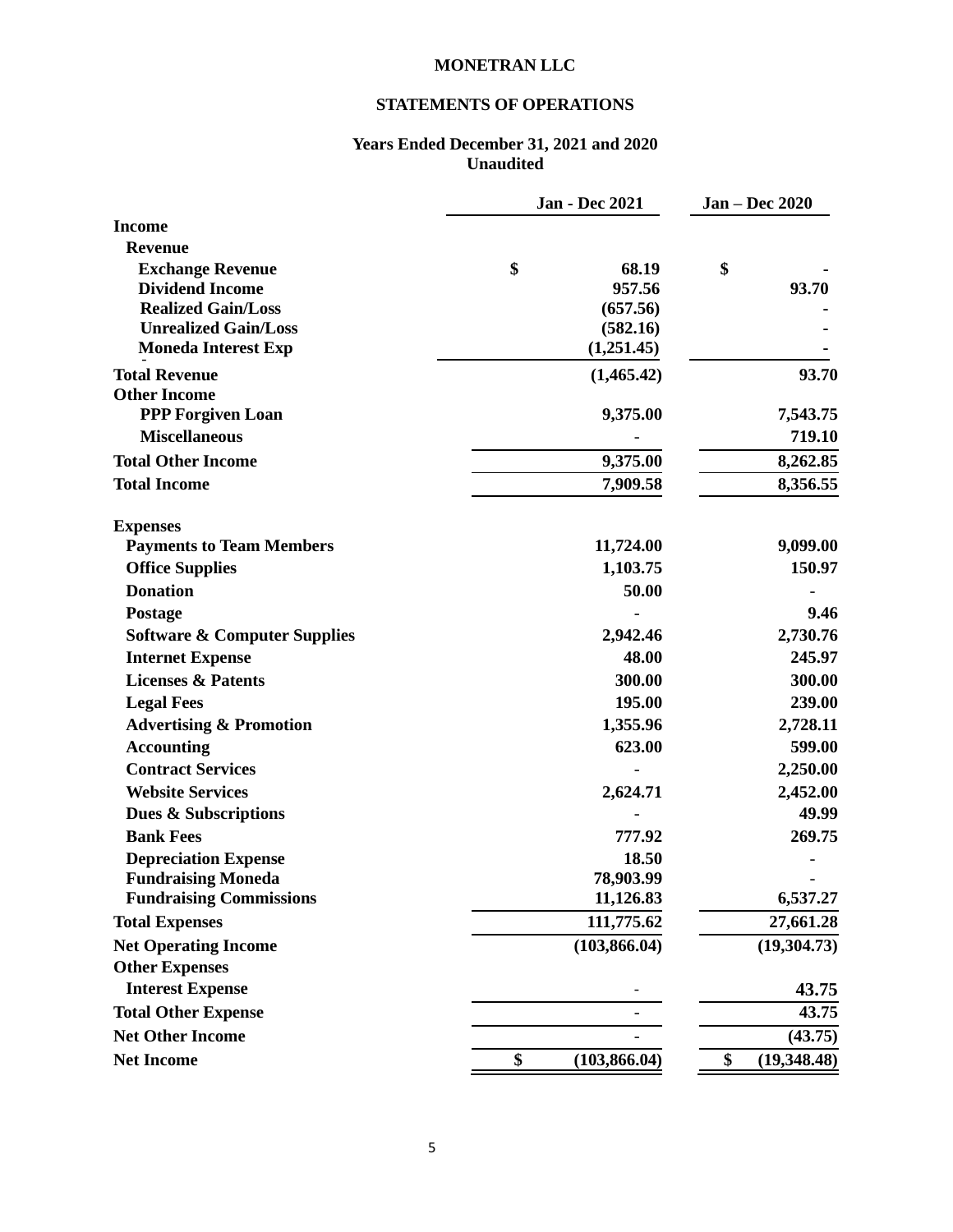## **STATEMENTS OF OPERATIONS**

#### **Years Ended December 31, 2021 and 2020 Unaudited**

|                                                           | <b>Jan - Dec 2021</b>  | <b>Jan - Dec 2020</b> |
|-----------------------------------------------------------|------------------------|-----------------------|
| <b>Income</b>                                             |                        |                       |
| <b>Revenue</b>                                            |                        |                       |
| <b>Exchange Revenue</b>                                   | \$<br>68.19            | \$                    |
| <b>Dividend Income</b>                                    | 957.56                 | 93.70                 |
| <b>Realized Gain/Loss</b>                                 | (657.56)               |                       |
| <b>Unrealized Gain/Loss</b><br><b>Moneda Interest Exp</b> | (582.16)<br>(1,251.45) |                       |
|                                                           |                        |                       |
| <b>Total Revenue</b><br><b>Other Income</b>               | (1,465.42)             | 93.70                 |
| <b>PPP Forgiven Loan</b>                                  | 9,375.00               | 7,543.75              |
| <b>Miscellaneous</b>                                      |                        | 719.10                |
| <b>Total Other Income</b>                                 | 9,375.00               | 8,262.85              |
| <b>Total Income</b>                                       | 7,909.58               | 8,356.55              |
|                                                           |                        |                       |
| <b>Expenses</b>                                           |                        |                       |
| <b>Payments to Team Members</b>                           | 11,724.00              | 9,099.00              |
| <b>Office Supplies</b>                                    | 1,103.75               | 150.97                |
| <b>Donation</b>                                           | 50.00                  |                       |
| Postage                                                   |                        | 9.46                  |
| <b>Software &amp; Computer Supplies</b>                   | 2,942.46               | 2,730.76              |
| <b>Internet Expense</b>                                   | 48.00                  | 245.97                |
| <b>Licenses &amp; Patents</b>                             | 300.00                 | 300.00                |
| <b>Legal Fees</b>                                         | 195.00                 | 239.00                |
| <b>Advertising &amp; Promotion</b>                        | 1,355.96               | 2,728.11              |
| <b>Accounting</b>                                         | 623.00                 | 599.00                |
| <b>Contract Services</b>                                  |                        | 2,250.00              |
| <b>Website Services</b>                                   | 2,624.71               | 2,452.00              |
| Dues & Subscriptions                                      |                        | 49.99                 |
| <b>Bank Fees</b>                                          | 777.92                 | 269.75                |
| <b>Depreciation Expense</b>                               | 18.50                  |                       |
| <b>Fundraising Moneda</b>                                 | 78,903.99              |                       |
| <b>Fundraising Commissions</b>                            | 11,126.83              | 6,537.27              |
| <b>Total Expenses</b>                                     | 111,775.62             | 27,661.28             |
| <b>Net Operating Income</b>                               | (103, 866.04)          | (19,304.73)           |
| <b>Other Expenses</b>                                     |                        |                       |
| <b>Interest Expense</b>                                   |                        | 43.75                 |
| <b>Total Other Expense</b>                                |                        | 43.75                 |
| <b>Net Other Income</b>                                   |                        | (43.75)               |
| <b>Net Income</b>                                         | \$<br>(103, 866.04)    | \$<br>(19, 348.48)    |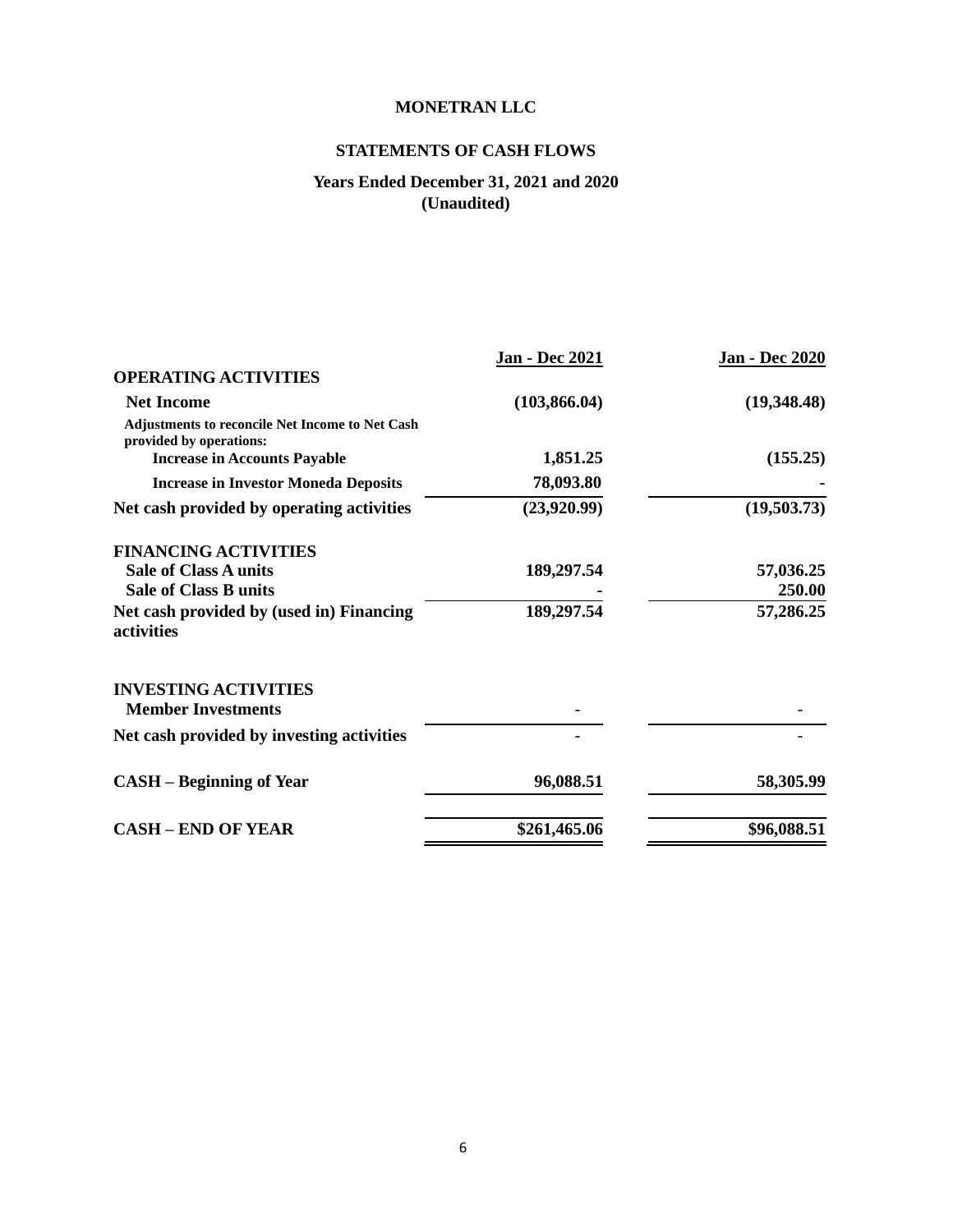## **STATEMENTS OF CASH FLOWS**

## **Years Ended December 31, 2021 and 2020 (Unaudited)**

|                                                                            | <b>Jan - Dec 2021</b> | <b>Jan - Dec 2020</b> |
|----------------------------------------------------------------------------|-----------------------|-----------------------|
| <b>OPERATING ACTIVITIES</b>                                                |                       |                       |
| <b>Net Income</b>                                                          | (103, 866.04)         | (19,348.48)           |
| Adjustments to reconcile Net Income to Net Cash<br>provided by operations: |                       |                       |
| <b>Increase in Accounts Payable</b>                                        | 1,851.25              | (155.25)              |
| <b>Increase in Investor Moneda Deposits</b>                                | 78,093.80             |                       |
| Net cash provided by operating activities                                  | (23,920.99)           | (19,503.73)           |
| <b>FINANCING ACTIVITIES</b>                                                |                       |                       |
| <b>Sale of Class A units</b>                                               | 189,297.54            | 57,036.25             |
| <b>Sale of Class B units</b>                                               |                       | 250.00                |
| Net cash provided by (used in) Financing<br>activities                     | 189,297.54            | 57,286.25             |
| <b>INVESTING ACTIVITIES</b><br><b>Member Investments</b>                   |                       |                       |
| Net cash provided by investing activities                                  |                       |                       |
| <b>CASH</b> – Beginning of Year                                            | 96,088.51             | 58,305.99             |
| <b>CASH - END OF YEAR</b>                                                  | \$261,465.06          | \$96,088.51           |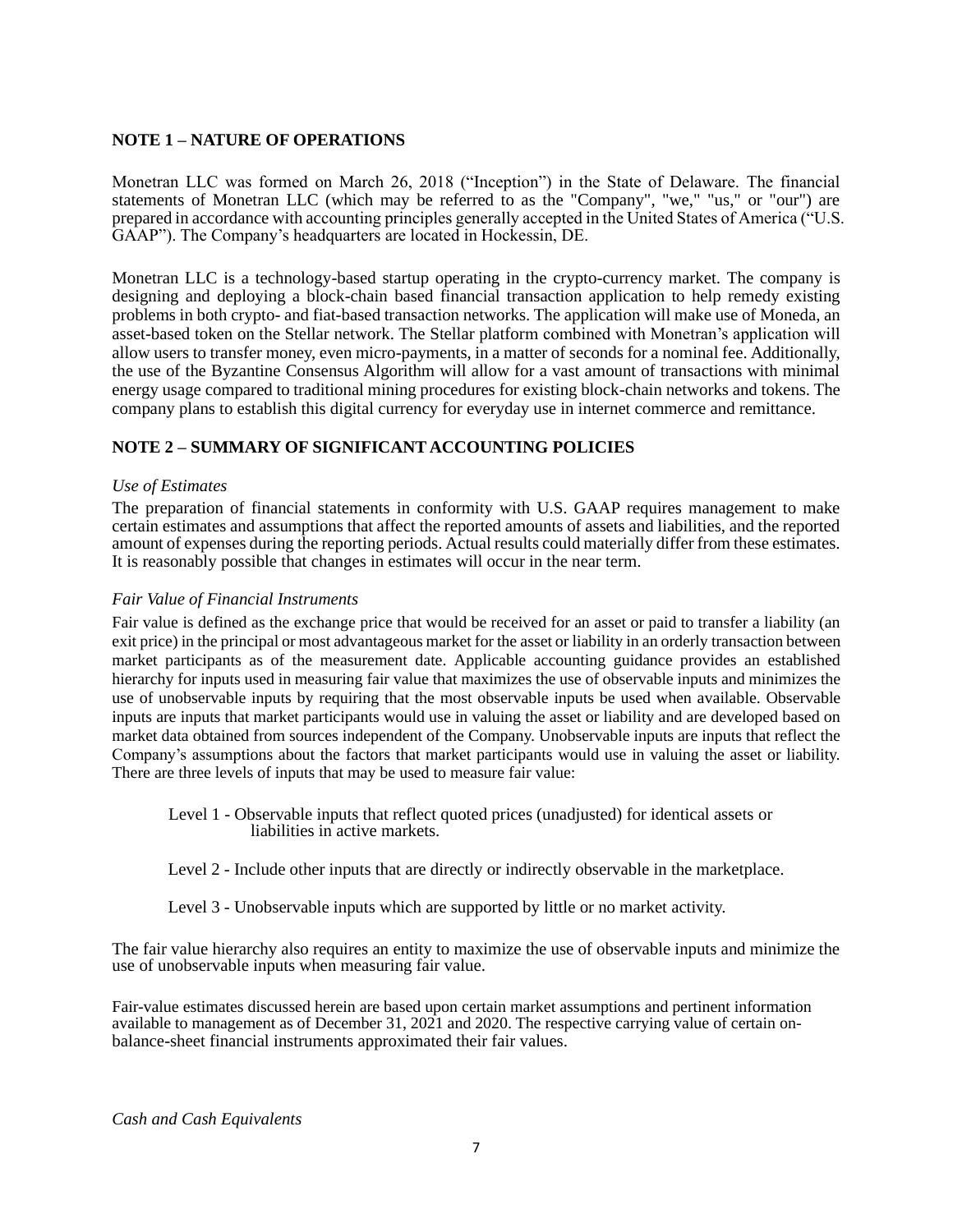### **NOTE 1 – NATURE OF OPERATIONS**

Monetran LLC was formed on March 26, 2018 ("Inception") in the State of Delaware. The financial statements of Monetran LLC (which may be referred to as the "Company", "we," "us," or "our") are prepared in accordance with accounting principles generally accepted in the United States of America ("U.S. GAAP"). The Company's headquarters are located in Hockessin, DE.

Monetran LLC is a technology-based startup operating in the crypto-currency market. The company is designing and deploying a block-chain based financial transaction application to help remedy existing problems in both crypto- and fiat-based transaction networks. The application will make use of Moneda, an asset-based token on the Stellar network. The Stellar platform combined with Monetran's application will allow users to transfer money, even micro-payments, in a matter of seconds for a nominal fee. Additionally, the use of the Byzantine Consensus Algorithm will allow for a vast amount of transactions with minimal energy usage compared to traditional mining procedures for existing block-chain networks and tokens. The company plans to establish this digital currency for everyday use in internet commerce and remittance.

### **NOTE 2 – SUMMARY OF SIGNIFICANT ACCOUNTING POLICIES**

### *Use of Estimates*

The preparation of financial statements in conformity with U.S. GAAP requires management to make certain estimates and assumptions that affect the reported amounts of assets and liabilities, and the reported amount of expenses during the reporting periods. Actual results could materially differ from these estimates. It is reasonably possible that changes in estimates will occur in the near term.

#### *Fair Value of Financial Instruments*

Fair value is defined as the exchange price that would be received for an asset or paid to transfer a liability (an exit price) in the principal or most advantageous market for the asset or liability in an orderly transaction between market participants as of the measurement date. Applicable accounting guidance provides an established hierarchy for inputs used in measuring fair value that maximizes the use of observable inputs and minimizes the use of unobservable inputs by requiring that the most observable inputs be used when available. Observable inputs are inputs that market participants would use in valuing the asset or liability and are developed based on market data obtained from sources independent of the Company. Unobservable inputs are inputs that reflect the Company's assumptions about the factors that market participants would use in valuing the asset or liability. There are three levels of inputs that may be used to measure fair value:

Level 1 - Observable inputs that reflect quoted prices (unadjusted) for identical assets or liabilities in active markets.

- Level 2 Include other inputs that are directly or indirectly observable in the marketplace.
- Level 3 Unobservable inputs which are supported by little or no market activity.

The fair value hierarchy also requires an entity to maximize the use of observable inputs and minimize the use of unobservable inputs when measuring fair value.

Fair-value estimates discussed herein are based upon certain market assumptions and pertinent information available to management as of December 31, 2021 and 2020. The respective carrying value of certain onbalance-sheet financial instruments approximated their fair values.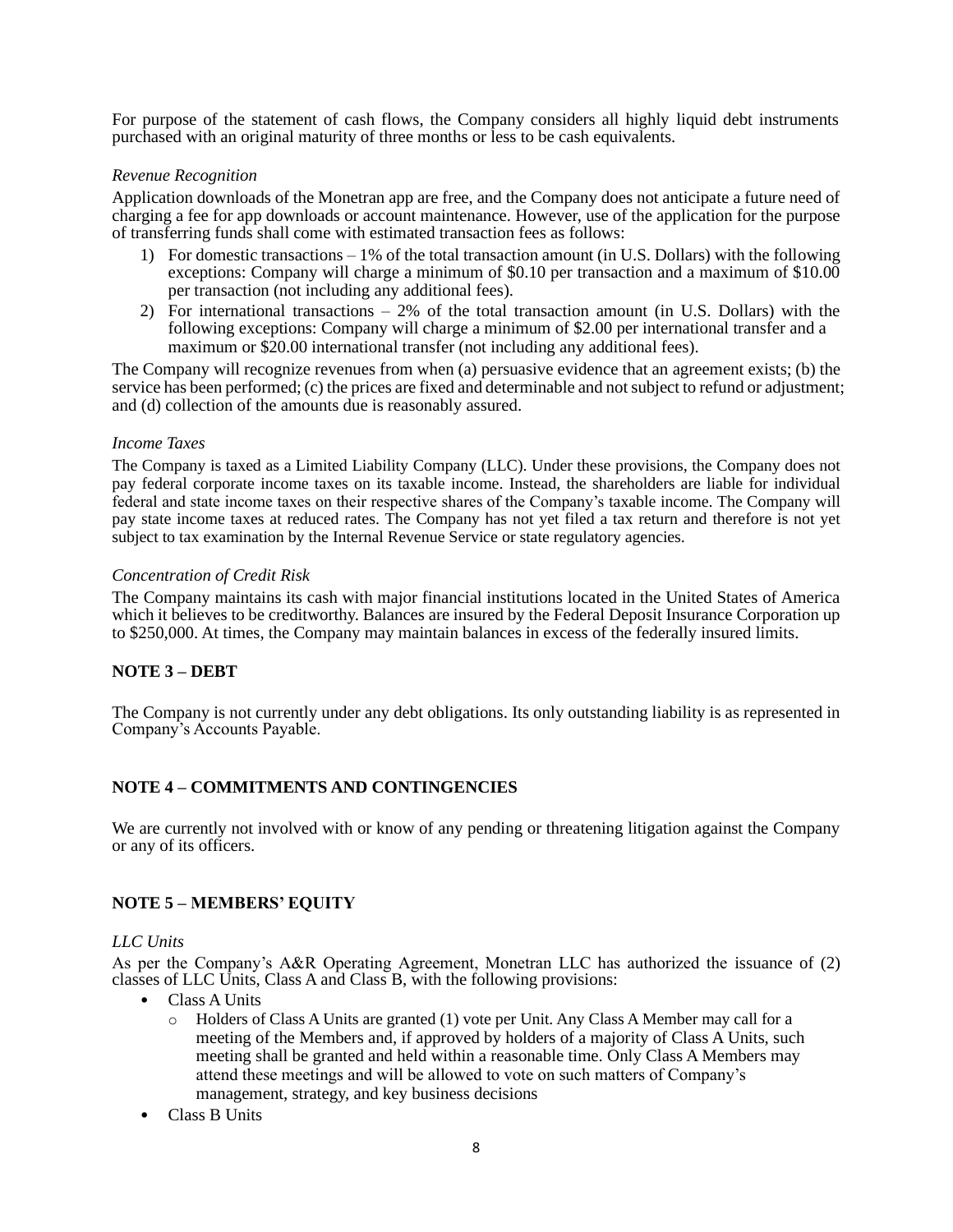For purpose of the statement of cash flows, the Company considers all highly liquid debt instruments purchased with an original maturity of three months or less to be cash equivalents.

### *Revenue Recognition*

Application downloads of the Monetran app are free, and the Company does not anticipate a future need of charging a fee for app downloads or account maintenance. However, use of the application for the purpose of transferring funds shall come with estimated transaction fees as follows:

- 1) For domestic transactions 1% of the total transaction amount (in U.S. Dollars) with the following exceptions: Company will charge a minimum of \$0.10 per transaction and a maximum of \$10.00 per transaction (not including any additional fees).
- 2) For international transactions 2% of the total transaction amount (in U.S. Dollars) with the following exceptions: Company will charge a minimum of \$2.00 per international transfer and a maximum or \$20.00 international transfer (not including any additional fees).

The Company will recognize revenues from when (a) persuasive evidence that an agreement exists; (b) the service has been performed; (c) the prices are fixed and determinable and not subject to refund or adjustment; and (d) collection of the amounts due is reasonably assured.

#### *Income Taxes*

The Company is taxed as a Limited Liability Company (LLC). Under these provisions, the Company does not pay federal corporate income taxes on its taxable income. Instead, the shareholders are liable for individual federal and state income taxes on their respective shares of the Company's taxable income. The Company will pay state income taxes at reduced rates. The Company has not yet filed a tax return and therefore is not yet subject to tax examination by the Internal Revenue Service or state regulatory agencies.

### *Concentration of Credit Risk*

The Company maintains its cash with major financial institutions located in the United States of America which it believes to be creditworthy. Balances are insured by the Federal Deposit Insurance Corporation up to \$250,000. At times, the Company may maintain balances in excess of the federally insured limits.

### **NOTE 3 – DEBT**

The Company is not currently under any debt obligations. Its only outstanding liability is as represented in Company's Accounts Payable.

## **NOTE 4 – COMMITMENTS AND CONTINGENCIES**

We are currently not involved with or know of any pending or threatening litigation against the Company or any of its officers.

### **NOTE 5 – MEMBERS' EQUITY**

### *LLC Units*

As per the Company's A&R Operating Agreement, Monetran LLC has authorized the issuance of (2) classes of LLC Units, Class A and Class B, with the following provisions:

- Class A Units
	- o Holders of Class A Units are granted (1) vote per Unit. Any Class A Member may call for a meeting of the Members and, if approved by holders of a majority of Class A Units, such meeting shall be granted and held within a reasonable time. Only Class A Members may attend these meetings and will be allowed to vote on such matters of Company's management, strategy, and key business decisions
- Class B Units